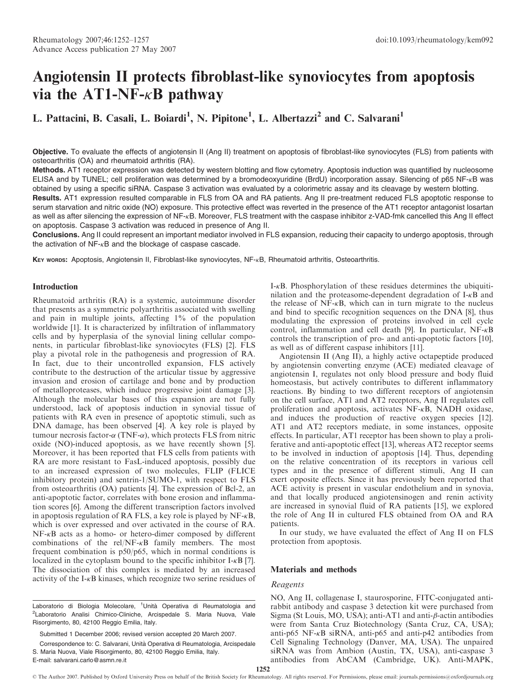# Angiotensin II protects fibroblast-like synoviocytes from apoptosis via the AT1-NF- $\kappa$ B pathway

L. Pattacini, B. Casali, L. Boiardi<sup>1</sup>, N. Pipitone<sup>1</sup>, L. Albertazzi<sup>2</sup> and C. Salvarani<sup>1</sup>

Objective. To evaluate the effects of angiotensin II (Ang II) treatment on apoptosis of fibroblast-like synoviocytes (FLS) from patients with osteoarthritis (OA) and rheumatoid arthritis (RA).

Methods. AT1 receptor expression was detected by western blotting and flow cytometry. Apoptosis induction was quantified by nucleosome ELISA and by TUNEL; cell proliferation was determined by a bromodeoxyuridine (BrdU) incorporation assay. Silencing of p65 NF- $\kappa$ B was obtained by using a specific siRNA. Caspase 3 activation was evaluated by a colorimetric assay and its cleavage by western blotting.

Results. AT1 expression resulted comparable in FLS from OA and RA patients. Ang II pre-treatment reduced FLS apoptotic response to serum starvation and nitric oxide (NO) exposure. This protective effect was reverted in the presence of the AT1 receptor antagonist losartan as well as after silencing the expression of NF-<sub>K</sub>B. Moreover, FLS treatment with the caspase inhibitor z-VAD-fmk cancelled this Ang II effect on apoptosis. Caspase 3 activation was reduced in presence of Ang II.

Conclusions. Ang II could represent an important mediator involved in FLS expansion, reducing their capacity to undergo apoptosis, through the activation of  $NF-xB$  and the blockage of caspase cascade.

KEY worns: Apoptosis, Angiotensin II, Fibroblast-like synoviocytes, NF-<sub>K</sub>B, Rheumatoid arthritis, Osteoarthritis.

## Introduction

Rheumatoid arthritis (RA) is a systemic, autoimmune disorder that presents as a symmetric polyarthritis associated with swelling and pain in multiple joints, affecting 1% of the population worldwide [1]. It is characterized by infiltration of inflammatory cells and by hyperplasia of the synovial lining cellular components, in particular fibroblast-like synoviocytes (FLS) [2]. FLS play a pivotal role in the pathogenesis and progression of RA. In fact, due to their uncontrolled expansion, FLS actively contribute to the destruction of the articular tissue by aggressive invasion and erosion of cartilage and bone and by production of metalloproteases, which induce progressive joint damage [3]. Although the molecular bases of this expansion are not fully understood, lack of apoptosis induction in synovial tissue of patients with RA even in presence of apoptotic stimuli, such as DNA damage, has been observed [4]. A key role is played by tumour necrosis factor- $\alpha$  (TNF- $\alpha$ ), which protects FLS from nitric oxide (NO)-induced apoptosis, as we have recently shown [5]. Moreover, it has been reported that FLS cells from patients with RA are more resistant to FasL-induced apoptosis, possibly due to an increased expression of two molecules, FLIP (FLICE inhibitory protein) and sentrin-1/SUMO-1, with respect to FLS from osteoarthritis (OA) patients [4]. The expression of Bcl-2, an anti-apoptotic factor, correlates with bone erosion and inflammation scores [6]. Among the different transcription factors involved in apoptosis regulation of RA FLS, a key role is played by  $NF-\kappa B$ , which is over expressed and over activated in the course of RA.  $NF-\kappa B$  acts as a homo- or hetero-dimer composed by different combinations of the rel/NF- $\kappa$ B family members. The most frequent combination is p50/p65, which in normal conditions is localized in the cytoplasm bound to the specific inhibitor  $I - \kappa B$  [7]. The dissociation of this complex is mediated by an increased activity of the I- $\kappa$ B kinases, which recognize two serine residues of

Laboratorio di Biologia Molecolare, <sup>1</sup>Unità Operativa di Reumatologia and <sup>2</sup>Laboratorio Analisi Chimico-Cliniche, Arcispedale S. Maria Nuova, Viale Risorgimento, 80, 42100 Reggio Emilia, Italy.

Submitted 1 December 2006; revised version accepted 20 March 2007.

Correspondence to: C. Salvarani, Unita` Operativa di Reumatologia, Arcispedale S. Maria Nuova, Viale Risorgimento, 80, 42100 Reggio Emilia, Italy. E-mail: salvarani.carlo@asmn.re.it

I- $\kappa$ B. Phosphorylation of these residues determines the ubiquitinilation and the proteasome-dependent degradation of  $I - \kappa B$  and the release of  $NF- $\kappa$ B$ , which can in turn migrate to the nucleus and bind to specific recognition sequences on the DNA [8], thus modulating the expression of proteins involved in cell cycle control, inflammation and cell death [9]. In particular,  $NF-<sub>K</sub>B$ controls the transcription of pro- and anti-apoptotic factors [10], as well as of different caspase inhibitors [11].

Angiotensin II (Ang II), a highly active octapeptide produced by angiotensin converting enzyme (ACE) mediated cleavage of angiotensin I, regulates not only blood pressure and body fluid homeostasis, but actively contributes to different inflammatory reactions. By binding to two different receptors of angiotensin on the cell surface, AT1 and AT2 receptors, Ang II regulates cell proliferation and apoptosis, activates  $NF-<sub>K</sub>B$ , NADH oxidase, and induces the production of reactive oxygen species [12]. AT1 and AT2 receptors mediate, in some instances, opposite effects. In particular, AT1 receptor has been shown to play a proliferative and anti-apoptotic effect [13], whereas AT2 receptor seems to be involved in induction of apoptosis [14]. Thus, depending on the relative concentration of its receptors in various cell types and in the presence of different stimuli, Ang II can exert opposite effects. Since it has previously been reported that ACE activity is present in vascular endothelium and in synovia, and that locally produced angiotensinogen and renin activity are increased in synovial fluid of RA patients [15], we explored the role of Ang II in cultured FLS obtained from OA and RA patients.

In our study, we have evaluated the effect of Ang II on FLS protection from apoptosis.

#### Materials and methods

## Reagents

NO, Ang II, collagenase I, staurosporine, FITC-conjugated antirabbit antibody and caspase 3 detection kit were purchased from Sigma (St Louis, MO, USA); anti-AT1 and anti- $\beta$ -actin antibodies were from Santa Cruz Biotechnology (Santa Cruz, CA, USA); anti-p65 NF- $\kappa$ B siRNA, anti-p65 and anti-p42 antibodies from Cell Signaling Technology (Danver, MA, USA). The unpaired siRNA was from Ambion (Austin, TX, USA), anti-caspase 3 antibodies from AbCAM (Cambridge, UK). Anti-MAPK,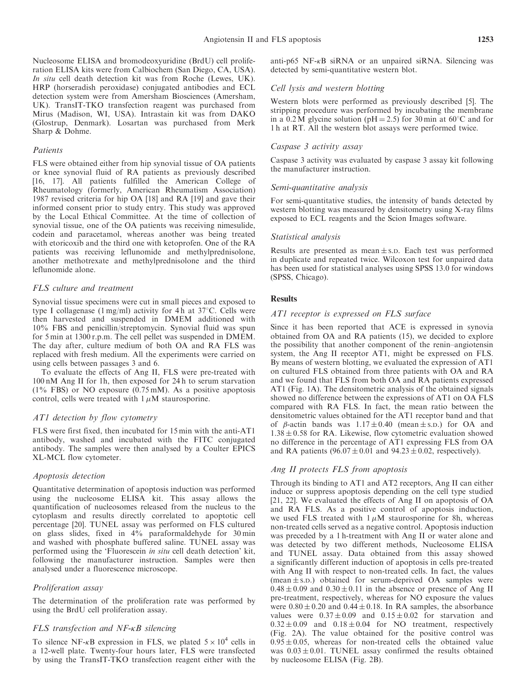Nucleosome ELISA and bromodeoxyuridine (BrdU) cell proliferation ELISA kits were from Calbiochem (San Diego, CA, USA). In situ cell death detection kit was from Roche (Lewes, UK). HRP (horseradish peroxidase) conjugated antibodies and ECL detection system were from Amersham Biosciences (Amersham, UK). TransIT-TKO transfection reagent was purchased from Mirus (Madison, WI, USA). Intrastain kit was from DAKO (Glostrup, Denmark). Losartan was purchased from Merk Sharp & Dohme.

#### Patients

FLS were obtained either from hip synovial tissue of OA patients or knee synovial fluid of RA patients as previously described [16, 17]. All patients fulfilled the American College of Rheumatology (formerly, American Rheumatism Association) 1987 revised criteria for hip OA [18] and RA [19] and gave their informed consent prior to study entry. This study was approved by the Local Ethical Committee. At the time of collection of synovial tissue, one of the OA patients was receiving nimesulide, codein and paracetamol, whereas another was being treated with etoricoxib and the third one with ketoprofen. One of the RA patients was receiving leflunomide and methylprednisolone, another methotrexate and methylprednisolone and the third leflunomide alone.

## FLS culture and treatment

Synovial tissue specimens were cut in small pieces and exposed to type I collagenase (1 mg/ml) activity for 4 h at  $37^{\circ}$ C. Cells were then harvested and suspended in DMEM additioned with 10% FBS and penicillin/streptomycin. Synovial fluid was spun for 5 min at 1300 r.p.m. The cell pellet was suspended in DMEM. The day after, culture medium of both OA and RA FLS was replaced with fresh medium. All the experiments were carried on using cells between passages 3 and 6.

To evaluate the effects of Ang II, FLS were pre-treated with 100 nM Ang II for 1h, then exposed for 24 h to serum starvation  $(1\%$  FBS) or NO exposure  $(0.75 \text{ mM})$ . As a positive apoptosis control, cells were treated with  $1 \mu M$  staurosporine.

## AT1 detection by flow cytometry

FLS were first fixed, then incubated for 15 min with the anti-AT1 antibody, washed and incubated with the FITC conjugated antibody. The samples were then analysed by a Coulter EPICS XL-MCL flow cytometer.

#### Apoptosis detection

Quantitative determination of apoptosis induction was performed using the nucleosome ELISA kit. This assay allows the quantification of nucleosomes released from the nucleus to the cytoplasm and results directly correlated to apoptotic cell percentage [20]. TUNEL assay was performed on FLS cultured on glass slides, fixed in 4% paraformaldehyde for 30 min and washed with phosphate buffered saline. TUNEL assay was performed using the 'Fluorescein in situ cell death detection' kit, following the manufacturer instruction. Samples were then analysed under a fluorescence microscope.

## Proliferation assay

The determination of the proliferation rate was performed by using the BrdU cell proliferation assay.

## $FLS$  transfection and  $NF-\kappa B$  silencing

To silence NF- $\kappa$ B expression in FLS, we plated  $5 \times 10^4$  cells in a 12-well plate. Twenty-four hours later, FLS were transfected by using the TransIT-TKO transfection reagent either with the anti-p65 NF- $\kappa$ B siRNA or an unpaired siRNA. Silencing was detected by semi-quantitative western blot.

## Cell lysis and western blotting

Western blots were performed as previously described [5]. The stripping procedure was performed by incubating the membrane in a 0.2 M glycine solution (pH = 2.5) for 30 min at 60 $^{\circ}$ C and for 1 h at RT. All the western blot assays were performed twice.

### Caspase 3 activity assay

Caspase 3 activity was evaluated by caspase 3 assay kit following the manufacturer instruction.

## Semi-quantitative analysis

For semi-quantitative studies, the intensity of bands detected by western blotting was measured by densitometry using X-ray films exposed to ECL reagents and the Scion Images software.

#### Statistical analysis

Results are presented as mean  $\pm$  s.D. Each test was performed in duplicate and repeated twice. Wilcoxon test for unpaired data has been used for statistical analyses using SPSS 13.0 for windows (SPSS, Chicago).

## **Results**

## AT1 receptor is expressed on FLS surface

Since it has been reported that ACE is expressed in synovia obtained from OA and RA patients (15), we decided to explore the possibility that another component of the renin–angiotensin system, the Ang II receptor AT1, might be expressed on FLS. By means of western blotting, we evaluated the expression of AT1 on cultured FLS obtained from three patients with OA and RA and we found that FLS from both OA and RA patients expressed AT1 (Fig. 1A). The densitometric analysis of the obtained signals showed no difference between the expressions of AT1 on OA FLS compared with RA FLS. In fact, the mean ratio between the densitometric values obtained for the AT1 receptor band and that of  $\beta$ -actin bands was  $1.17 \pm 0.40$  (mean  $\pm$  s.p.) for OA and  $1.38 \pm 0.58$  for RA. Likewise, flow cytometric evaluation showed no difference in the percentage of AT1 expressing FLS from OA and RA patients  $(96.07 \pm 0.01$  and  $94.23 \pm 0.02$ , respectively).

## Ang II protects FLS from apoptosis

Through its binding to AT1 and AT2 receptors, Ang II can either induce or suppress apoptosis depending on the cell type studied [21, 22]. We evaluated the effects of Ang II on apoptosis of OA and RA FLS. As a positive control of apoptosis induction, we used FLS treated with  $1 \mu M$  staurosporine for 8h, whereas non-treated cells served as a negative control. Apoptosis induction was preceded by a 1 h-treatment with Ang II or water alone and was detected by two different methods, Nucleosome ELISA and TUNEL assay. Data obtained from this assay showed a significantly different induction of apoptosis in cells pre-treated with Ang II with respect to non-treated cells. In fact, the values  $(mean \pm s.D.)$  obtained for serum-deprived OA samples were  $0.48 \pm 0.09$  and  $0.30 \pm 0.11$  in the absence or presence of Ang II pre-treatment, respectively, whereas for NO exposure the values were  $0.80 \pm 0.20$  and  $0.44 \pm 0.18$ . In RA samples, the absorbance values were  $0.37 \pm 0.09$  and  $0.15 \pm 0.02$  for starvation and  $0.32 \pm 0.09$  and  $0.18 \pm 0.04$  for NO treatment, respectively (Fig. 2A). The value obtained for the positive control was  $0.95 \pm 0.05$ , whereas for non-treated cells the obtained value was  $0.03 \pm 0.01$ . TUNEL assay confirmed the results obtained by nucleosome ELISA (Fig. 2B).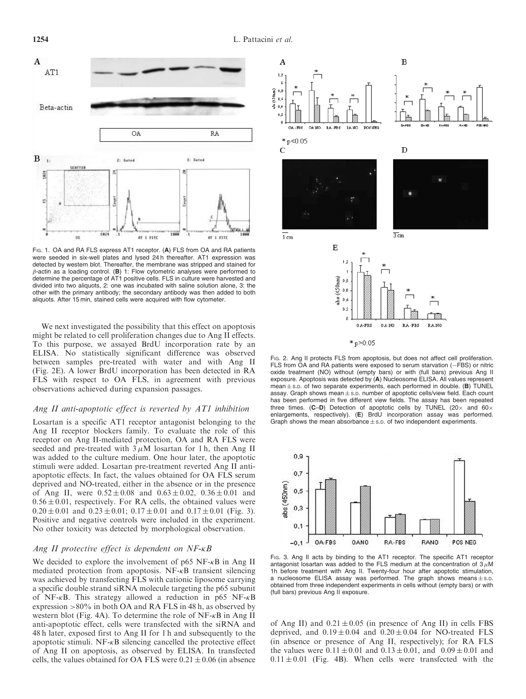

Fig. 1. OA and RA FLS express AT1 receptor. (A) FLS from OA and RA patients were seeded in six-well plates and lysed 24 h thereafter. AT1 expression was detected by western blot. Thereafter, the membrane was stripped and stained for  $\beta$ -actin as a loading control. (B) 1: Flow cytometric analyses were performed to determine the percentage of AT1 positive cells. FLS in culture were harvested and divided into two aliquots, 2: one was incubated with saline solution alone, 3: the other with the primary antibody; the secondary antibody was then added to both aliquots. After 15 min, stained cells were acquired with flow cytometer.

We next investigated the possibility that this effect on apoptosis might be related to cell proliferation changes due to Ang II effects. To this purpose, we assayed BrdU incorporation rate by an ELISA. No statistically significant difference was observed between samples pre-treated with water and with Ang II (Fig. 2E). A lower BrdU incorporation has been detected in RA FLS with respect to OA FLS, in agreement with previous observations achieved during expansion passages.

## Ang II anti-apoptotic effect is reverted by AT1 inhibition

Losartan is a specific AT1 receptor antagonist belonging to the Ang II receptor blockers family. To evaluate the role of this receptor on Ang II-mediated protection, OA and RA FLS were seeded and pre-treated with  $3 \mu M$  losartan for 1 h, then Ang II was added to the culture medium. One hour later, the apoptotic stimuli were added. Losartan pre-treatment reverted Ang II antiapoptotic effects. In fact, the values obtained for OA FLS serum deprived and NO-treated, either in the absence or in the presence of Ang II, were  $0.52 \pm 0.08$  and  $0.63 \pm 0.02$ ,  $0.36 \pm 0.01$  and  $0.56 \pm 0.01$ , respectively. For RA cells, the obtained values were  $0.20 \pm 0.01$  and  $0.23 \pm 0.01$ ;  $0.17 \pm 0.01$  and  $0.17 \pm 0.01$  (Fig. 3). Positive and negative controls were included in the experiment. No other toxicity was detected by morphological observation.

## Ang II protective effect is dependent on  $NF$ - $\kappa B$

We decided to explore the involvement of  $p65$  NF- $\kappa$ B in Ang II mediated protection from apoptosis.  $NF-<sub>K</sub>B$  transient silencing was achieved by transfecting FLS with cationic liposome carrying a specific double strand siRNA molecule targeting the p65 subunit of NF- $\kappa$ B. This strategy allowed a reduction in p65 NF- $\kappa$ B expression >80% in both OA and RA FLS in 48 h, as observed by western blot (Fig. 4A). To determine the role of  $NF-\kappa B$  in Ang II anti-apoptotic effect, cells were transfected with the siRNA and 48 h later, exposed first to Ang II for 1 h and subsequently to the apoptotic stimuli.  $NF-\kappa B$  silencing cancelled the protective effect of Ang II on apoptosis, as observed by ELISA. In transfected cells, the values obtained for OA FLS were  $0.21 \pm 0.06$  (in absence



FIG. 2. Ang II protects FLS from apoptosis, but does not affect cell proliferation. FLS from OA and RA patients were exposed to serum starvation (-FBS) or nitric oxide treatment (NO) without (empty bars) or with (full bars) previous Ang II exposure. Apoptosis was detected by (A) Nucleosome ELISA. All values represent mean  $\pm$  s.p. of two separate experiments, each performed in double. (B) TUNEL assay. Graph shows mean $\pm$ s.p. number of apoptotic cells/view field. Each count has been performed in five different view fields. The assay has been repeated three times. (C–D) Detection of apoptotic cells by TUNEL (20 $\times$  and 60 $\times$ enlargements, respectively). (E) BrdU incorporation assay was performed. Graph shows the mean absorbance  $\pm$  s.p. of two independent experiments.



Fig. 3. Ang II acts by binding to the AT1 receptor. The specific AT1 receptor antagonist losartan was added to the FLS medium at the concentration of  $3 \mu$ M 1h before treatment with Ang II. Twenty-four hour after apoptotic stimulation, a nucleosome ELISA assay was performed. The graph shows means $\pm$ s.D. obtained from three independent experiments in cells without (empty bars) or with (full bars) previous Ang II exposure.

of Ang II) and  $0.21 \pm 0.05$  (in presence of Ang II) in cells FBS deprived, and  $0.19 \pm 0.04$  and  $0.20 \pm 0.04$  for NO-treated FLS (in absence or presence of Ang II, respectively); for RA FLS the values were  $0.11 \pm 0.01$  and  $0.13 \pm 0.01$ , and  $0.09 \pm 0.01$  and  $0.11 \pm 0.01$  (Fig. 4B). When cells were transfected with the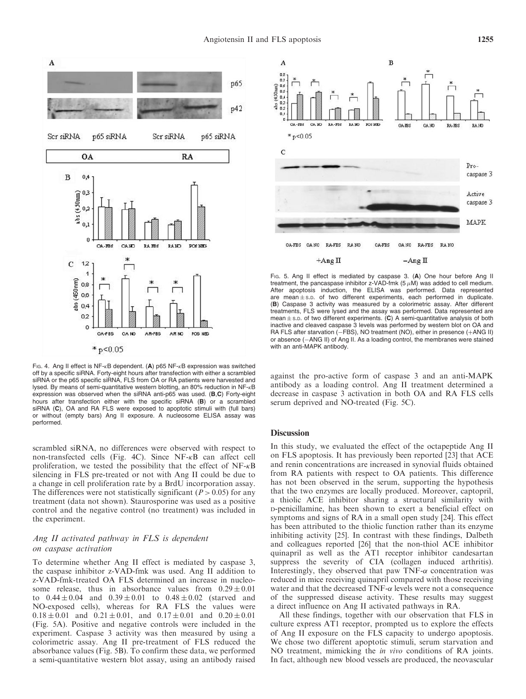

FIG. 4. Ang II effect is NF- $\kappa$ B dependent. (A) p65 NF- $\kappa$ B expression was switched off by a specific siRNA. Forty-eight hours after transfection with either a scrambled siRNA or the p65 specific siRNA, FLS from OA or RA patients were harvested and lysed. By means of semi-quantitative western blotting, an 80% reduction in NF- $\kappa$ B expression was observed when the siRNA anti-p65 was used. (B,C) Forty-eight hours after transfection either with the specific siRNA (B) or a scrambled siRNA (C), OA and RA FLS were exposed to apoptotic stimuli with (full bars) or without (empty bars) Ang II exposure. A nucleosome ELISA assay was performed.

scrambled siRNA, no differences were observed with respect to non-transfected cells (Fig. 4C). Since  $NF- $\kappa$ B$  can affect cell proliferation, we tested the possibility that the effect of  $NF-\kappa B$ silencing in FLS pre-treated or not with Ang II could be due to a change in cell proliferation rate by a BrdU incorporation assay. The differences were not statistically significant ( $P > 0.05$ ) for any treatment (data not shown). Staurosporine was used as a positive control and the negative control (no treatment) was included in the experiment.

## Ang II activated pathway in FLS is dependent on caspase activation

To determine whether Ang II effect is mediated by caspase 3, the caspase inhibitor z-VAD-fmk was used. Ang II addition to z-VAD-fmk-treated OA FLS determined an increase in nucleosome release, thus in absorbance values from  $0.29 \pm 0.01$ to  $0.44 \pm 0.04$  and  $0.39 \pm 0.01$  to  $0.48 \pm 0.02$  (starved and NO-exposed cells), whereas for RA FLS the values were  $0.18 \pm 0.01$  and  $0.21 \pm 0.01$ , and  $0.17 \pm 0.01$  and  $0.20 \pm 0.01$ (Fig. 5A). Positive and negative controls were included in the experiment. Caspase 3 activity was then measured by using a colorimetric assay. Ang II pre-treatment of FLS reduced the absorbance values (Fig. 5B). To confirm these data, we performed a semi-quantitative western blot assay, using an antibody raised



Fig. 5. Ang II effect is mediated by caspase 3. (A) One hour before Ang II treatment, the pancaspase inhibitor z-VAD-fmk ( $5 \mu$ M) was added to cell medium. After apoptosis induction, the ELISA was performed. Data represented are mean $\pm$ s.p. of two different experiments, each performed in duplicate. (B) Caspase 3 activity was measured by a colorimetric assay. After different treatments, FLS were lysed and the assay was performed. Data represented are mean  $\pm$  s.p. of two different experiments. (C) A semi-quantitative analysis of both inactive and cleaved caspase 3 levels was performed by western blot on OA and RA FLS after starvation (-FBS), NO treatment (NO), either in presence (+ANG II) or absence (-ANG II) of Ang II. As a loading control, the membranes were stained with an anti-MAPK antibody.

against the pro-active form of caspase 3 and an anti-MAPK antibody as a loading control. Ang II treatment determined a decrease in caspase 3 activation in both OA and RA FLS cells serum deprived and NO-treated (Fig. 5C).

## **Discussion**

In this study, we evaluated the effect of the octapeptide Ang II on FLS apoptosis. It has previously been reported [23] that ACE and renin concentrations are increased in synovial fluids obtained from RA patients with respect to OA patients. This difference has not been observed in the serum, supporting the hypothesis that the two enzymes are locally produced. Moreover, captopril, a thiolic ACE inhibitor sharing a structural similarity with D-penicillamine, has been shown to exert a beneficial effect on symptoms and signs of RA in a small open study [24]. This effect has been attributed to the thiolic function rather than its enzyme inhibiting activity [25]. In contrast with these findings, Dalbeth and colleagues reported [26] that the non-thiol ACE inhibitor quinapril as well as the AT1 receptor inhibitor candesartan suppress the severity of CIA (collagen induced arthritis). Interestingly, they observed that paw TNF- $\alpha$  concentration was reduced in mice receiving quinapril compared with those receiving water and that the decreased  $TNF-\alpha$  levels were not a consequence of the suppressed disease activity. These results may suggest a direct influence on Ang II activated pathways in RA.

All these findings, together with our observation that FLS in culture express AT1 receptor, prompted us to explore the effects of Ang II exposure on the FLS capacity to undergo apoptosis. We chose two different apoptotic stimuli, serum starvation and NO treatment, mimicking the in vivo conditions of RA joints. In fact, although new blood vessels are produced, the neovascular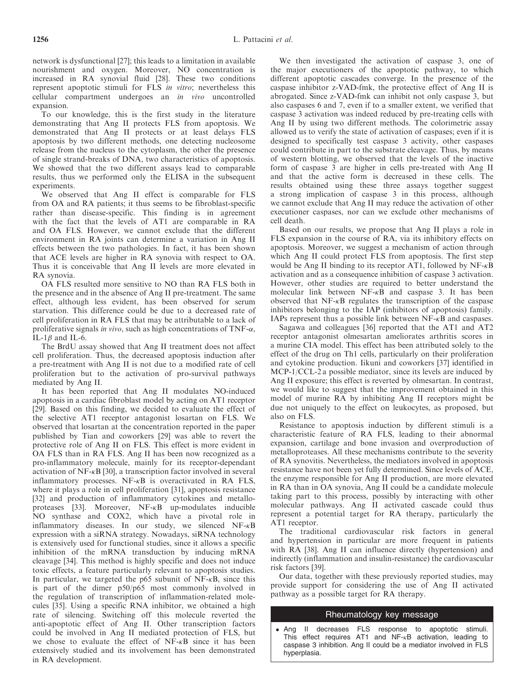network is dysfunctional [27]; this leads to a limitation in available nourishment and oxygen. Moreover, NO concentration is increased in RA synovial fluid [28]. These two conditions represent apoptotic stimuli for FLS in vitro; nevertheless this cellular compartment undergoes an in vivo uncontrolled expansion.

To our knowledge, this is the first study in the literature demonstrating that Ang II protects FLS from apoptosis. We demonstrated that Ang II protects or at least delays FLS apoptosis by two different methods, one detecting nucleosome release from the nucleus to the cytoplasm, the other the presence of single strand-breaks of DNA, two characteristics of apoptosis. We showed that the two different assays lead to comparable results, thus we performed only the ELISA in the subsequent experiments.

We observed that Ang II effect is comparable for FLS from OA and RA patients; it thus seems to be fibroblast-specific rather than disease-specific. This finding is in agreement with the fact that the levels of AT1 are comparable in RA and OA FLS. However, we cannot exclude that the different environment in RA joints can determine a variation in Ang II effects between the two pathologies. In fact, it has been shown that ACE levels are higher in RA synovia with respect to OA. Thus it is conceivable that Ang II levels are more elevated in RA synovia.

OA FLS resulted more sensitive to NO than RA FLS both in the presence and in the absence of Ang II pre-treatment. The same effect, although less evident, has been observed for serum starvation. This difference could be due to a decreased rate of cell proliferation in RA FLS that may be attributable to a lack of proliferative signals in vivo, such as high concentrations of  $TNF-\alpha$ , IL-1 $\beta$  and IL-6.

The BrdU assay showed that Ang II treatment does not affect cell proliferation. Thus, the decreased apoptosis induction after a pre-treatment with Ang II is not due to a modified rate of cell proliferation but to the activation of pro-survival pathways mediated by Ang II.

It has been reported that Ang II modulates NO-induced apoptosis in a cardiac fibroblast model by acting on AT1 receptor [29]. Based on this finding, we decided to evaluate the effect of the selective AT1 receptor antagonist losartan on FLS. We observed that losartan at the concentration reported in the paper published by Tian and coworkers [29] was able to revert the protective role of Ang II on FLS. This effect is more evident in OA FLS than in RA FLS. Ang II has been now recognized as a pro-inflammatory molecule, mainly for its receptor-dependant activation of NF- $\kappa$ B [30], a transcription factor involved in several inflammatory processes.  $NF- $\kappa$ B$  is overactivated in RA FLS, where it plays a role in cell proliferation [31], apoptosis resistance [32] and production of inflammatory cytokines and metalloproteases [33]. Moreover,  $NF- $\kappa$ B$  up-modulates inducible NO synthase and COX2, which have a pivotal role in inflammatory diseases. In our study, we silenced  $NF- $\kappa$ B$ expression with a siRNA strategy. Nowadays, siRNA technology is extensively used for functional studies, since it allows a specific inhibition of the mRNA transduction by inducing mRNA cleavage [34]. This method is highly specific and does not induce toxic effects, a feature particularly relevant to apoptosis studies. In particular, we targeted the p65 subunit of  $NF- $\kappa$ B$ , since this is part of the dimer p50/p65 most commonly involved in the regulation of transcription of inflammation-related molecules [35]. Using a specific RNA inhibitor, we obtained a high rate of silencing. Switching off this molecule reverted the anti-apoptotic effect of Ang II. Other transcription factors could be involved in Ang II mediated protection of FLS, but we chose to evaluate the effect of  $NF-\kappa B$  since it has been extensively studied and its involvement has been demonstrated in RA development.

We then investigated the activation of caspase 3, one of the major executioners of the apoptotic pathway, to which different apoptotic cascades converge. In the presence of the caspase inhibitor z-VAD-fmk, the protective effect of Ang II is abrogated. Since z-VAD-fmk can inhibit not only caspase 3, but also caspases 6 and 7, even if to a smaller extent, we verified that caspase 3 activation was indeed reduced by pre-treating cells with Ang II by using two different methods. The colorimetric assay allowed us to verify the state of activation of caspases; even if it is designed to specifically test caspase 3 activity, other caspases could contribute in part to the substrate cleavage. Thus, by means of western blotting, we observed that the levels of the inactive form of caspase 3 are higher in cells pre-treated with Ang II and that the active form is decreased in these cells. The results obtained using these three assays together suggest a strong implication of caspase 3 in this process, although we cannot exclude that Ang II may reduce the activation of other executioner caspases, nor can we exclude other mechanisms of cell death.

Based on our results, we propose that Ang II plays a role in FLS expansion in the course of RA, via its inhibitory effects on apoptosis. Moreover, we suggest a mechanism of action through which Ang II could protect FLS from apoptosis. The first step would be Ang II binding to its receptor AT1, followed by  $NF - \kappa B$ activation and as a consequence inhibition of caspase 3 activation. However, other studies are required to better understand the molecular link between  $NF- $\kappa$ B$  and caspase 3. It has been observed that  $NF-\kappa B$  regulates the transcription of the caspase inhibitors belonging to the IAP (inhibitors of apoptosis) family. IAPs represent thus a possible link between  $NF-\kappa B$  and caspases.

Sagawa and colleagues [36] reported that the AT1 and AT2 receptor antagonist olmesartan ameliorates arthritis scores in a murine CIA model. This effect has been attributed solely to the effect of the drug on Th1 cells, particularly on their proliferation and cytokine production. Iikuni and coworkers [37] identified in MCP-1/CCL-2 a possible mediator, since its levels are induced by Ang II exposure; this effect is reverted by olmesartan. In contrast, we would like to suggest that the improvement obtained in this model of murine RA by inhibiting Ang II receptors might be due not uniquely to the effect on leukocytes, as proposed, but also on FLS.

Resistance to apoptosis induction by different stimuli is a characteristic feature of RA FLS, leading to their abnormal expansion, cartilage and bone invasion and overproduction of metalloproteases. All these mechanisms contribute to the severity of RA synovitis. Nevertheless, the mediators involved in apoptosis resistance have not been yet fully determined. Since levels of ACE, the enzyme responsible for Ang II production, are more elevated in RA than in OA synovia, Ang II could be a candidate molecule taking part to this process, possibly by interacting with other molecular pathways. Ang II activated cascade could thus represent a potential target for RA therapy, particularly the AT1 receptor.

The traditional cardiovascular risk factors in general and hypertension in particular are more frequent in patients with RA [38]. Ang II can influence directly (hypertension) and indirectly (inflammation and insulin-resistance) the cardiovascular risk factors [39].

Our data, together with these previously reported studies, may provide support for considering the use of Ang II activated pathway as a possible target for RA therapy.

#### Rheumatology key message

 Ang II decreases FLS response to apoptotic stimuli. This effect requires AT1 and  $NF-<sub>K</sub>B$  activation, leading to caspase 3 inhibition. Ang II could be a mediator involved in FLS hyperplasia.